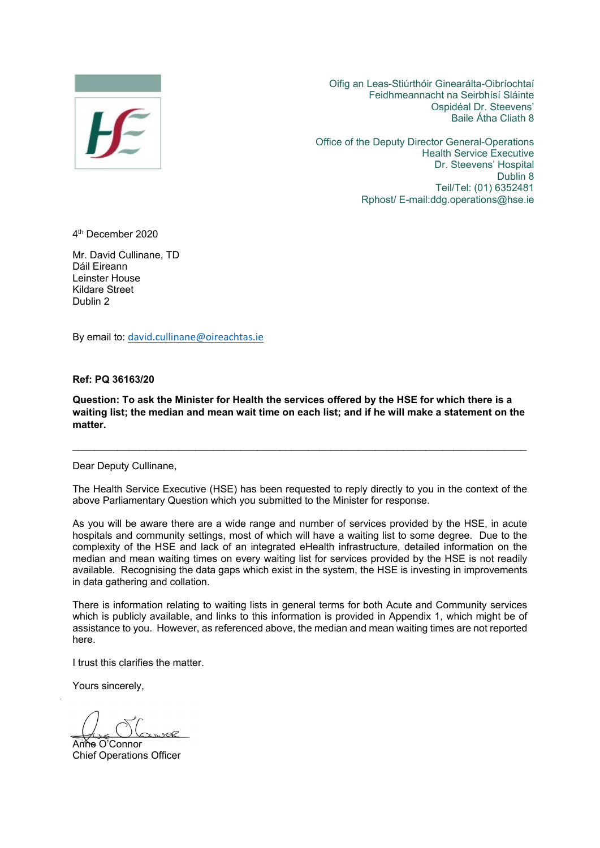

Oifig an Leas-Stiúrthóir Ginearálta-Oibríochtaí Feidhmeannacht na Seirbhísí Sláinte Ospidéal Dr. Steevens' Baile Átha Cliath 8

Office of the Deputy Director General-Operations Health Service Executive Dr. Steevens' Hospital Dublin 8 Teil/Tel: (01) 6352481 Rphost/ E-mail:ddg.operations@hse.ie

4th December 2020

Mr. David Cullinane, TD Dáil Eireann Leinster House Kildare Street Dublin 2

By email to: [david.cullinane@oireachtas.ie](mailto:david.cullinane@oireachtas.ie)

**Ref: PQ 36163/20** 

**Question: To ask the Minister for Health the services offered by the HSE for which there is a waiting list; the median and mean wait time on each list; and if he will make a statement on the matter.** 

\_\_\_\_\_\_\_\_\_\_\_\_\_\_\_\_\_\_\_\_\_\_\_\_\_\_\_\_\_\_\_\_\_\_\_\_\_\_\_\_\_\_\_\_\_\_\_\_\_\_\_\_\_\_\_\_\_\_\_\_\_\_\_\_\_\_\_\_\_\_\_\_\_\_\_\_\_\_\_\_\_

Dear Deputy Cullinane,

The Health Service Executive (HSE) has been requested to reply directly to you in the context of the above Parliamentary Question which you submitted to the Minister for response.

As you will be aware there are a wide range and number of services provided by the HSE, in acute hospitals and community settings, most of which will have a waiting list to some degree. Due to the complexity of the HSE and lack of an integrated eHealth infrastructure, detailed information on the median and mean waiting times on every waiting list for services provided by the HSE is not readily available. Recognising the data gaps which exist in the system, the HSE is investing in improvements in data gathering and collation.

There is information relating to waiting lists in general terms for both Acute and Community services which is publicly available, and links to this information is provided in Appendix 1, which might be of assistance to you. However, as referenced above, the median and mean waiting times are not reported here.

I trust this clarifies the matter.

Yours sincerely,

 $\sim$ 

Anne O'Connor Chief Operations Officer